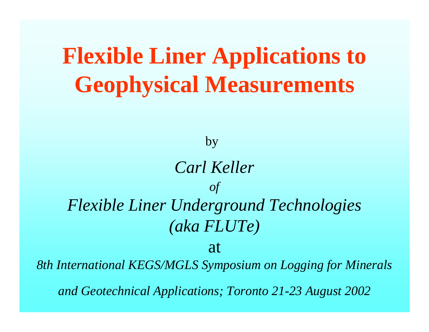# **Flexible Liner Applications to Geophysical Measurements**

by

### *Carl Keller of Flexible Liner Underground Technologies (aka FLUTe)*

at

*8th International KEGS/MGLS Symposium on Logging for Minerals* 

*and Geotechnical Applications; Toronto 21-23 August 2002*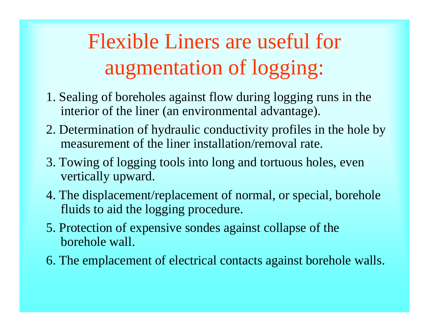## Flexible Liners are useful for augmentation of logging:

- 1. Sealing of boreholes against flow during logging runs in the interior of the liner (an environmental advantage).
- 2. Determination of hydraulic conductivity profiles in the hole by measurement of the liner installation/removal rate.
- 3. Towing of logging tools into long and tortuous holes, even vertically upward.
- 4. The displacement/replacement of normal, or special, borehole fluids to aid the logging procedure.
- 5. Protection of expensive sondes against collapse of the borehole wall.
- 6. The emplacement of electrical contacts against borehole walls.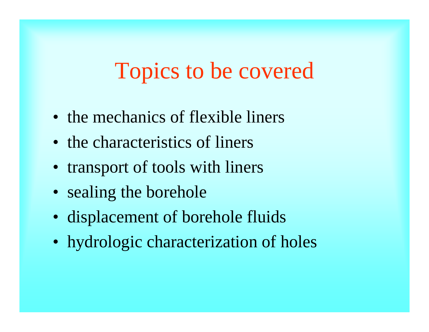### Topics to be covered

- the mechanics of flexible liners
- the characteristics of liners
- transport of tools with liners
- sealing the borehole
- displacement of borehole fluids
- hydrologic characterization of holes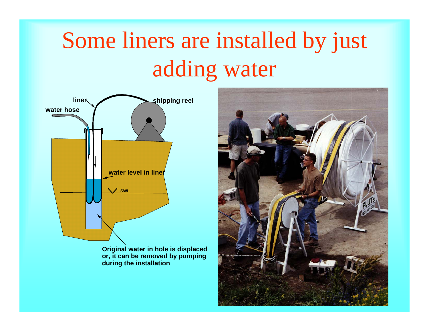# Some liners are installed by just adding water



**Original water in hole is displaced or, it can be removed by pumping durin g the installation**

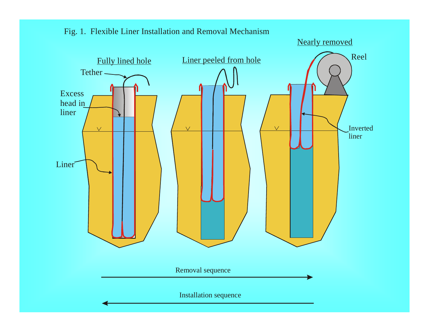

#### Fig. 1. Flexible Liner Installation and Removal Mechanism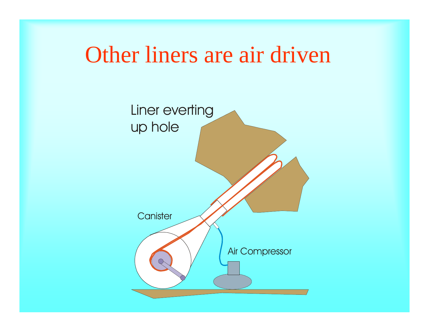### Other liners are air driven

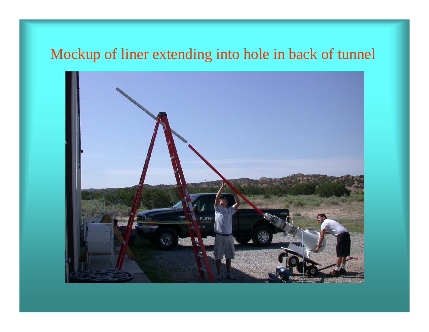### Mockup of liner extending into hole in back of tunnel

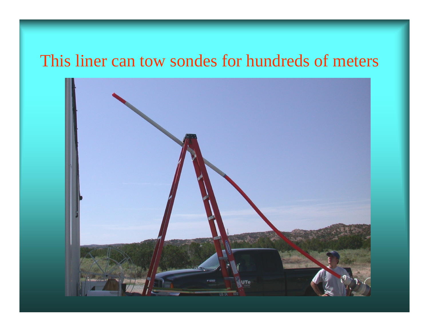### This liner can tow sondes for hundreds of meters

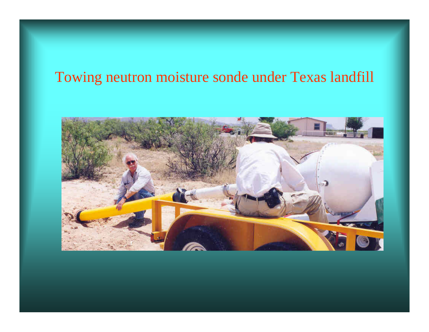### Towing neutron moisture sonde under Texas landfill

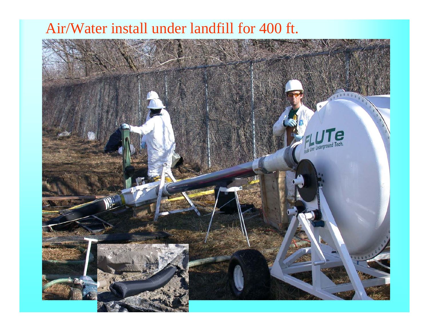#### Air/Water install under landfill for 400 ft.

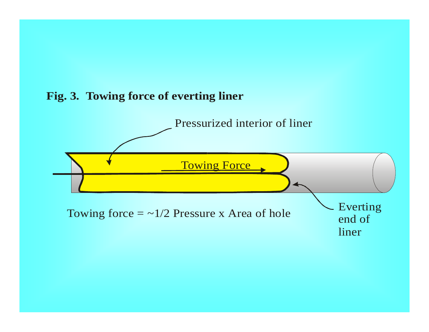

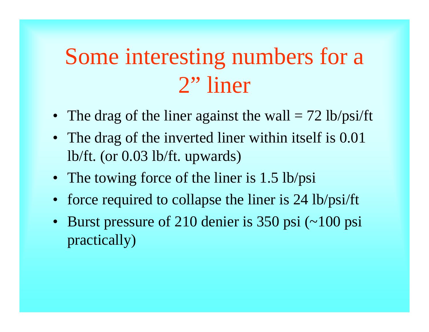## Some interesting numbers for a 2" liner

- The drag of the liner against the wall = 72 lb/psi/ft
- The drag of the inverted liner within itself is 0.01 lb/ft. (or 0.03 lb/ft. upwards)
- The towing force of the liner is 1.5 lb/psi
- force required to collapse the liner is 24 lb/psi/ft
- Burst pressure of 210 denier is 350 psi (~100 psi practically)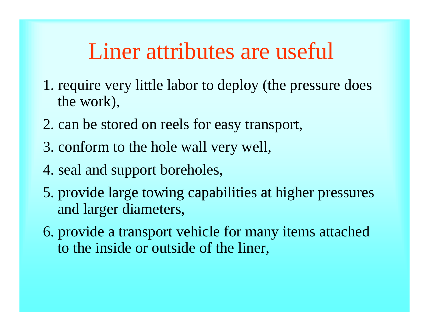### Liner attributes are useful

- 1. require very little labor to deploy (the pressure does the work),
- 2. can be stored on reels for easy transport,
- 3. conform to the hole wall very well,
- 4. seal and support boreholes,
- 5. provide large towing capabilities at higher pressures and larger diameters,
- 6. provide a transport vehicle for many items attached to the inside or outside of the liner,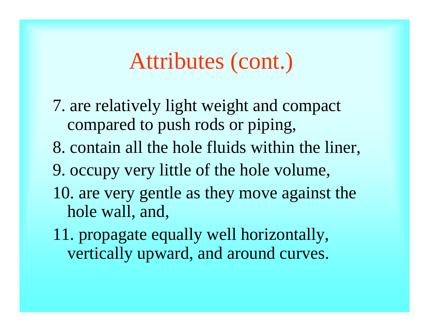### Attributes (cont.)

- 7. are relatively light weight and compact compared to push rods or piping,
- 8. contain all the hole fluids within the liner,
- 9. occupy very little of the hole volume,
- 10. are very gentle as they move against the hole wall, and,
- 11. propagate equally well horizontally, vertically upward, and around curves.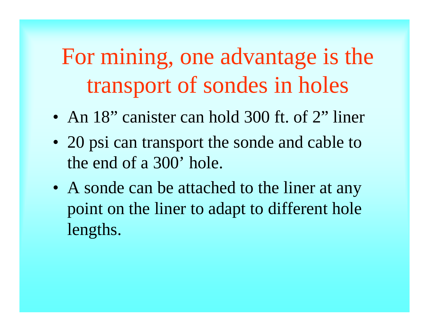For mining, one advantage is the transport of sondes in holes

- An 18" canister can hold 300 ft. of 2" liner
- 20 psi can transport the sonde and cable to the end of a 300' hole.
- A sonde can be attached to the liner at any point on the liner to adapt to different hole lengths.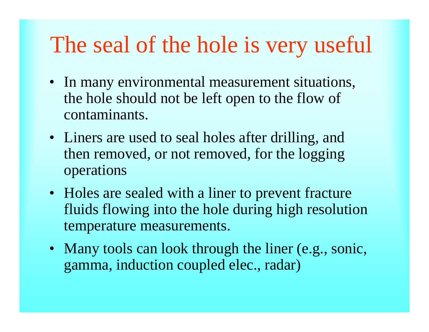### The seal of the hole is very useful

- In many environmental measurement situations, the hole should not be left open to the flow of contaminants.
- Liners are used to seal holes after drilling, and then removed, or not removed, for the logging operations
- Holes are sealed with a liner to prevent fracture fluids flowing into the hole during high resolution temperature measurements.
- Many tools can look through the liner (e.g., sonic, gamma, induction coupled elec., radar)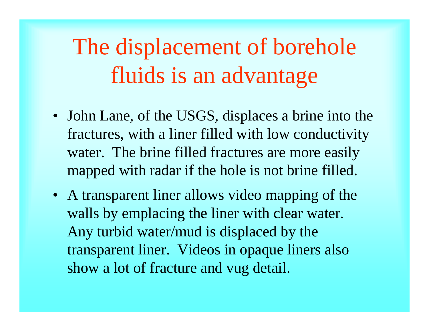# The displacement of borehole fluids is an advantage

- John Lane, of the USGS, displaces a brine into the fractures, with a liner filled with low conductivity water. The brine filled fractures are more easily mapped with radar if the hole is not brine filled.
- A transparent liner allows video mapping of the walls by emplacing the liner with clear water. Any turbid water/mud is displaced by the transparent liner. Videos in opaque liners also show a lot of fracture and vug detail.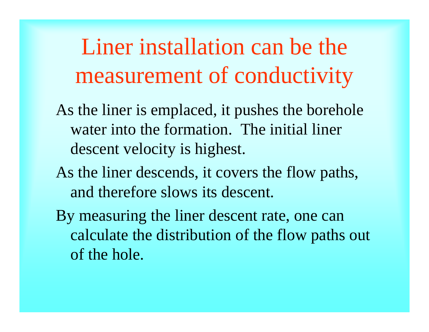Liner installation can be the measurement of conductivity

- As the liner is emplaced, it pushes the borehole water into the formation. The initial liner descent velocity is highest.
- As the liner descends, it covers the flow paths, and therefore slows its descent.
- By measuring the liner descent rate, one can calculate the distribution of the flow paths out of the hole.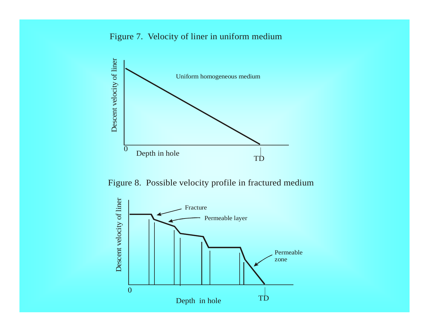#### Figure 7. Velocity of liner in uniform medium



Figure 8. Possible velocity profile in fractured medium